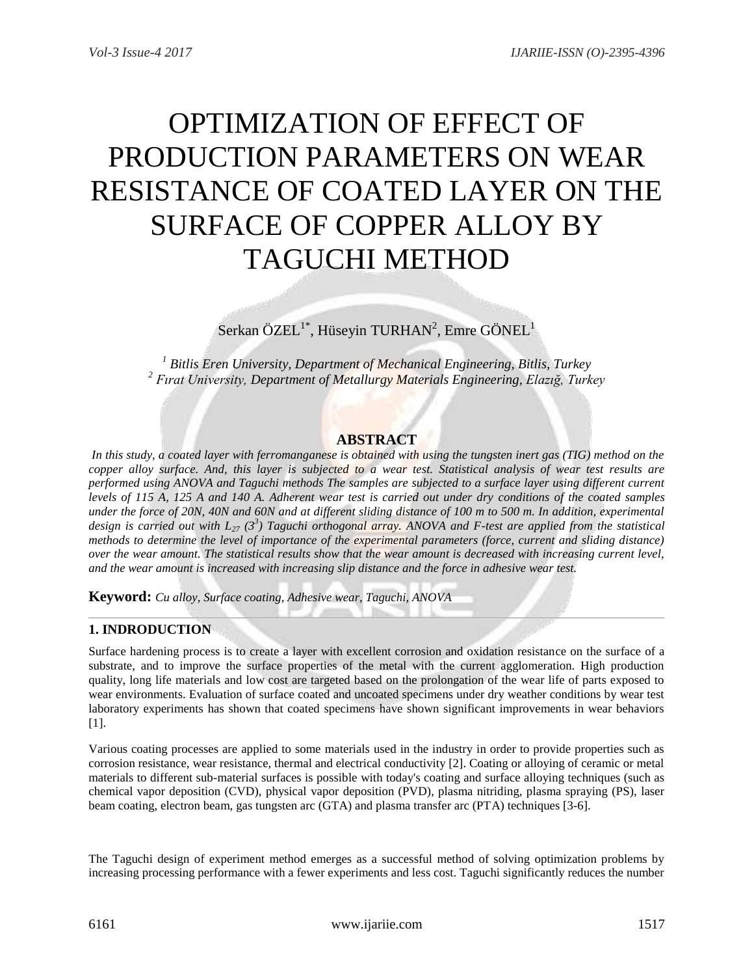# OPTIMIZATION OF EFFECT OF PRODUCTION PARAMETERS ON WEAR RESISTANCE OF COATED LAYER ON THE SURFACE OF COPPER ALLOY BY TAGUCHI METHOD

 $S$ erkan ÖZEL<sup>1\*</sup>, Hüseyin TURHAN<sup>2</sup>, Emre GÖNEL<sup>1</sup>

*<sup>1</sup> Bitlis Eren University, Department of Mechanical Engineering, Bitlis, Turkey <sup>2</sup> Fırat University, Department of Metallurgy Materials Engineering, Elazığ, Turkey*

# **ABSTRACT**

In this study, a coated layer with ferromanganese is obtained with using the tungsten inert gas (TIG) method on the *copper alloy surface. And, this layer is subjected to a wear test. Statistical analysis of wear test results are performed using ANOVA and Taguchi methods The samples are subjected to a surface layer using different current levels of 115 A, 125 A and 140 A. Adherent wear test is carried out under dry conditions of the coated samples under the force of 20N, 40N and 60N and at different sliding distance of 100 m to 500 m. In addition, experimental design is carried out with L<sup>27</sup> (3<sup>3</sup> ) Taguchi orthogonal array. ANOVA and F-test are applied from the statistical methods to determine the level of importance of the experimental parameters (force, current and sliding distance) over the wear amount. The statistical results show that the wear amount is decreased with increasing current level, and the wear amount is increased with increasing slip distance and the force in adhesive wear test.*

**Keyword:** *Cu alloy, Surface coating, Adhesive wear, Taguchi, ANOVA*

# **1. INDRODUCTION**

Surface hardening process is to create a layer with excellent corrosion and oxidation resistance on the surface of a substrate, and to improve the surface properties of the metal with the current agglomeration. High production quality, long life materials and low cost are targeted based on the prolongation of the wear life of parts exposed to wear environments. Evaluation of surface coated and uncoated specimens under dry weather conditions by wear test laboratory experiments has shown that coated specimens have shown significant improvements in wear behaviors [1].

Various coating processes are applied to some materials used in the industry in order to provide properties such as corrosion resistance, wear resistance, thermal and electrical conductivity [2]. Coating or alloying of ceramic or metal materials to different sub-material surfaces is possible with today's coating and surface alloying techniques (such as chemical vapor deposition (CVD), physical vapor deposition (PVD), plasma nitriding, plasma spraying (PS), laser beam coating, electron beam, gas tungsten arc (GTA) and plasma transfer arc (PTA) techniques [3-6].

The Taguchi design of experiment method emerges as a successful method of solving optimization problems by increasing processing performance with a fewer experiments and less cost. Taguchi significantly reduces the number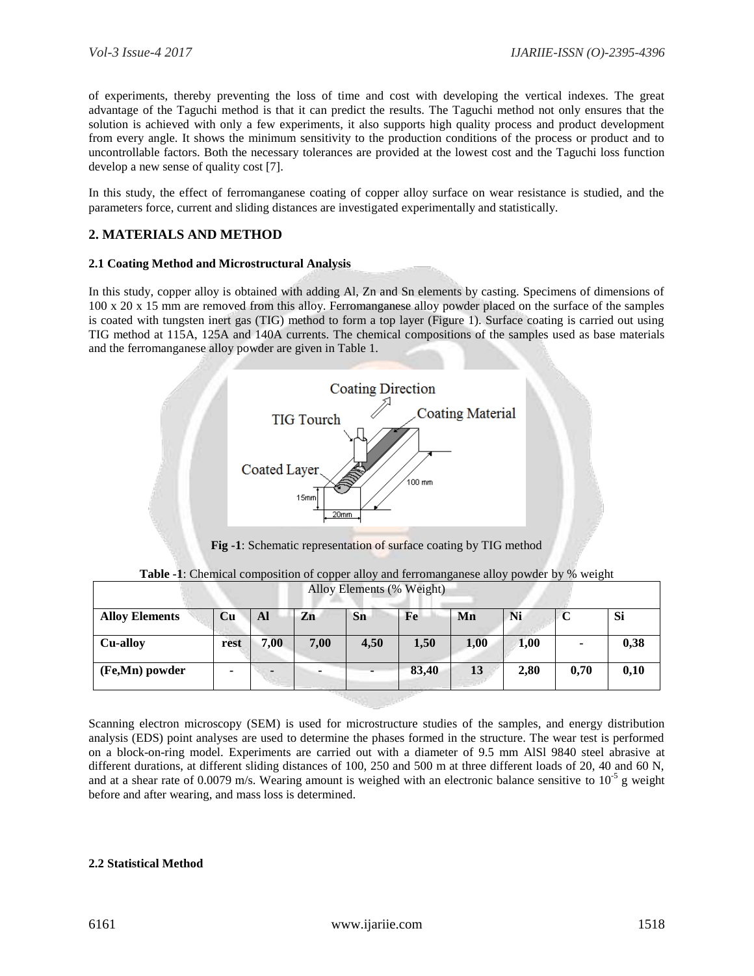of experiments, thereby preventing the loss of time and cost with developing the vertical indexes. The great advantage of the Taguchi method is that it can predict the results. The Taguchi method not only ensures that the solution is achieved with only a few experiments, it also supports high quality process and product development from every angle. It shows the minimum sensitivity to the production conditions of the process or product and to uncontrollable factors. Both the necessary tolerances are provided at the lowest cost and the Taguchi loss function develop a new sense of quality cost [7].

In this study, the effect of ferromanganese coating of copper alloy surface on wear resistance is studied, and the parameters force, current and sliding distances are investigated experimentally and statistically.

# **2. MATERIALS AND METHOD**

#### **2.1 Coating Method and Microstructural Analysis**

In this study, copper alloy is obtained with adding Al, Zn and Sn elements by casting. Specimens of dimensions of 100 x 20 x 15 mm are removed from this alloy. Ferromanganese alloy powder placed on the surface of the samples is coated with tungsten inert gas (TIG) method to form a top layer (Figure 1). Surface coating is carried out using TIG method at 115A, 125A and 140A currents. The chemical compositions of the samples used as base materials and the ferromanganese alloy powder are given in Table 1.



**Fig -1**: Schematic representation of surface coating by TIG method

| Alloy Elements (% Weight) |      |      |      |      |       |      |      |      |      |
|---------------------------|------|------|------|------|-------|------|------|------|------|
| <b>Alloy Elements</b>     | Cu   | Al   | Zn   | Sn   | Fe    | Mn   | Ni   | C    | Si   |
| <b>Cu-alloy</b>           | rest | 7,00 | 7,00 | 4,50 | 1,50  | 1,00 | 1,00 |      | 0,38 |
| (Fe,Mn) powder            | ۰    |      |      |      | 83,40 | 13   | 2,80 | 0,70 | 0,10 |

**Table -1**: Chemical composition of copper alloy and ferromanganese alloy powder by % weight

Scanning electron microscopy (SEM) is used for microstructure studies of the samples, and energy distribution analysis (EDS) point analyses are used to determine the phases formed in the structure. The wear test is performed on a block-on-ring model. Experiments are carried out with a diameter of 9.5 mm AlSl 9840 steel abrasive at different durations, at different sliding distances of 100, 250 and 500 m at three different loads of 20, 40 and 60 N, and at a shear rate of 0.0079 m/s. Wearing amount is weighed with an electronic balance sensitive to  $10^{-5}$  g weight before and after wearing, and mass loss is determined.

#### **2.2 Statistical Method**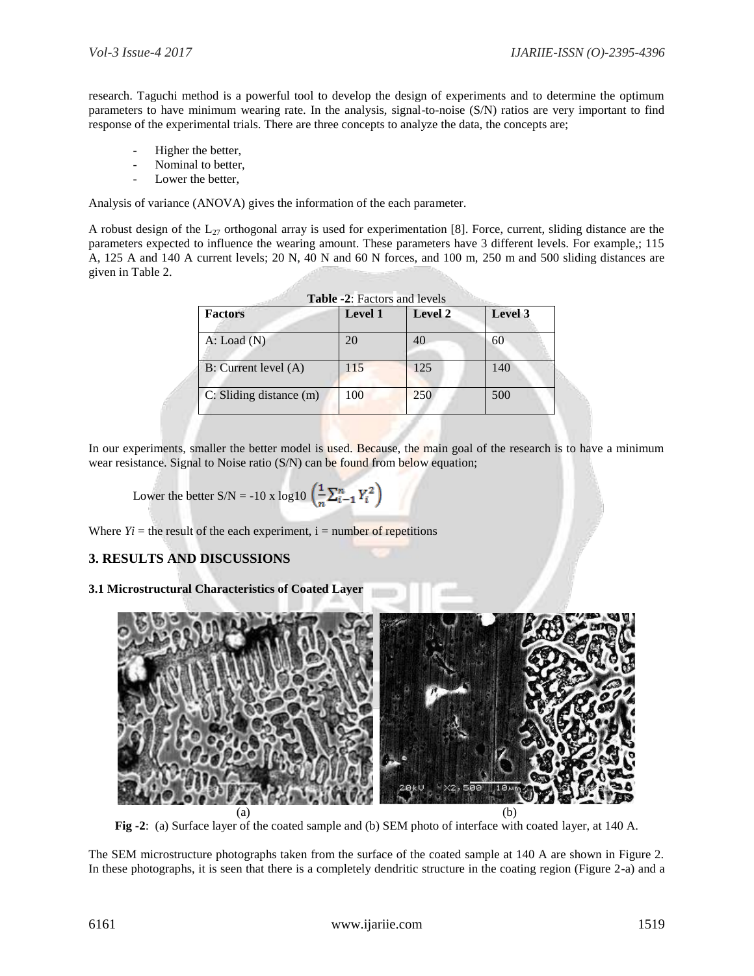research. Taguchi method is a powerful tool to develop the design of experiments and to determine the optimum parameters to have minimum wearing rate. In the analysis, signal-to-noise (S/N) ratios are very important to find response of the experimental trials. There are three concepts to analyze the data, the concepts are;

- Higher the better,
- Nominal to better,
- Lower the better.

Analysis of variance (ANOVA) gives the information of the each parameter.

A robust design of the  $L_{27}$  orthogonal array is used for experimentation [8]. Force, current, sliding distance are the parameters expected to influence the wearing amount. These parameters have 3 different levels. For example,; 115 A, 125 A and 140 A current levels; 20 N, 40 N and 60 N forces, and 100 m, 250 m and 500 sliding distances are given in Table 2.

| <b>Factors</b>          | <b>Level 1</b> | <b>Level 2</b> | Level 3 |
|-------------------------|----------------|----------------|---------|
| $A:$ Load $(N)$         | 20             | 40             | 60      |
| B: Current level (A)    | 115            | 125            | 140     |
| C: Sliding distance (m) | 100            | 250            | 500     |

In our experiments, smaller the better model is used. Because, the main goal of the research is to have a minimum wear resistance. Signal to Noise ratio (S/N) can be found from below equation;

Lower the better S/N = -10 x log10 
$$
\left(\frac{1}{n}\sum_{i=1}^{n}Y_i^2\right)
$$

Where  $Y_i$  = the result of the each experiment,  $i$  = number of repetitions

### **3. RESULTS AND DISCUSSIONS**

**3.1 Microstructural Characteristics of Coated Layer**



**Fig -2**: (a) Surface layer of the coated sample and (b) SEM photo of interface with coated layer, at 140 A.

The SEM microstructure photographs taken from the surface of the coated sample at 140 A are shown in Figure 2. In these photographs, it is seen that there is a completely dendritic structure in the coating region (Figure 2-a) and a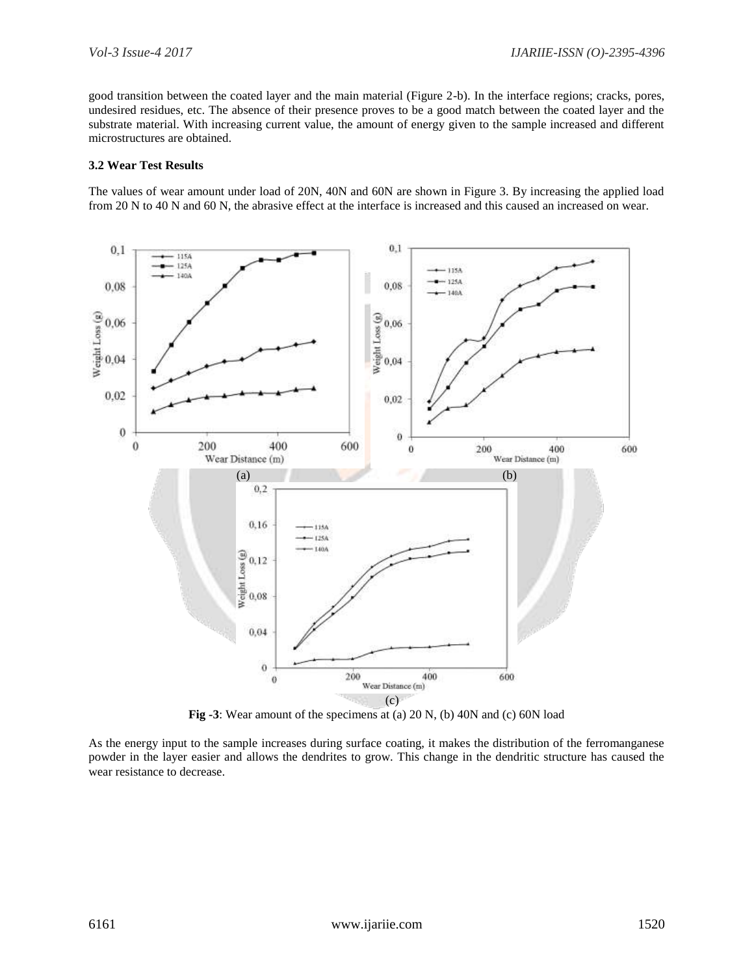good transition between the coated layer and the main material (Figure 2-b). In the interface regions; cracks, pores, undesired residues, etc. The absence of their presence proves to be a good match between the coated layer and the substrate material. With increasing current value, the amount of energy given to the sample increased and different microstructures are obtained.

#### **3.2 Wear Test Results**

The values of wear amount under load of 20N, 40N and 60N are shown in Figure 3. By increasing the applied load from 20 N to 40 N and 60 N, the abrasive effect at the interface is increased and this caused an increased on wear.



**Fig -3**: Wear amount of the specimens at (a) 20 N, (b) 40N and (c) 60N load

As the energy input to the sample increases during surface coating, it makes the distribution of the ferromanganese powder in the layer easier and allows the dendrites to grow. This change in the dendritic structure has caused the wear resistance to decrease.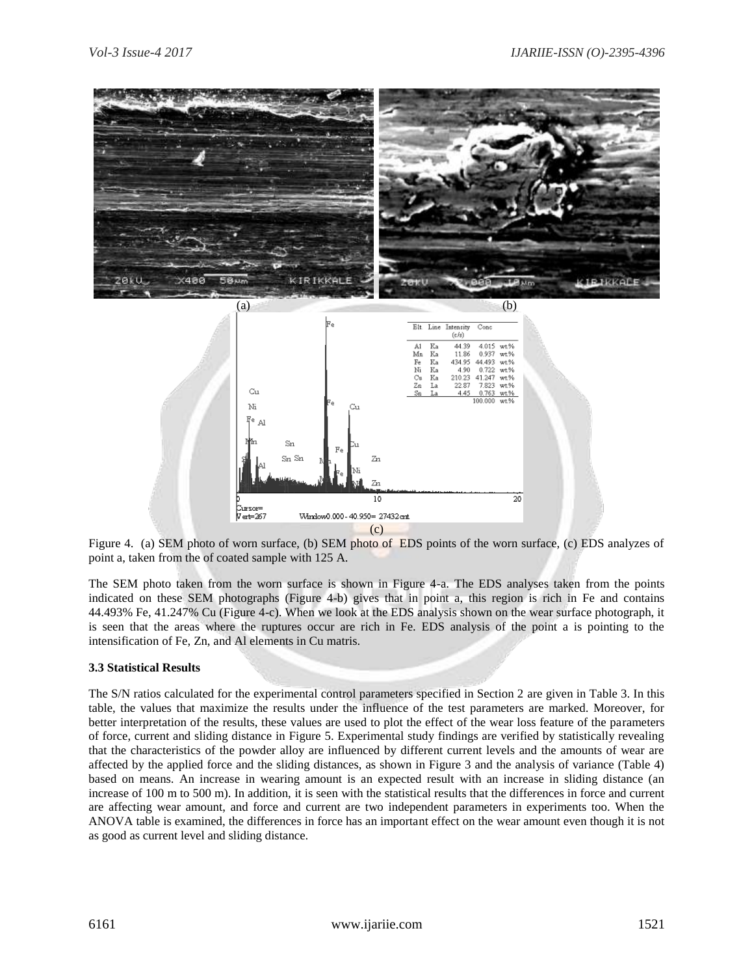

Figure 4. (a) SEM photo of worn surface, (b) SEM photo of EDS points of the worn surface, (c) EDS analyzes of point a, taken from the of coated sample with 125 A.

The SEM photo taken from the worn surface is shown in Figure 4-a. The EDS analyses taken from the points indicated on these SEM photographs (Figure 4-b) gives that in point a, this region is rich in Fe and contains 44.493% Fe, 41.247% Cu (Figure 4-c). When we look at the EDS analysis shown on the wear surface photograph, it is seen that the areas where the ruptures occur are rich in Fe. EDS analysis of the point a is pointing to the intensification of Fe, Zn, and Al elements in Cu matris.

#### **3.3 Statistical Results**

The S/N ratios calculated for the experimental control parameters specified in Section 2 are given in Table 3. In this table, the values that maximize the results under the influence of the test parameters are marked. Moreover, for better interpretation of the results, these values are used to plot the effect of the wear loss feature of the parameters of force, current and sliding distance in Figure 5. Experimental study findings are verified by statistically revealing that the characteristics of the powder alloy are influenced by different current levels and the amounts of wear are affected by the applied force and the sliding distances, as shown in Figure 3 and the analysis of variance (Table 4) based on means. An increase in wearing amount is an expected result with an increase in sliding distance (an increase of 100 m to 500 m). In addition, it is seen with the statistical results that the differences in force and current are affecting wear amount, and force and current are two independent parameters in experiments too. When the ANOVA table is examined, the differences in force has an important effect on the wear amount even though it is not as good as current level and sliding distance.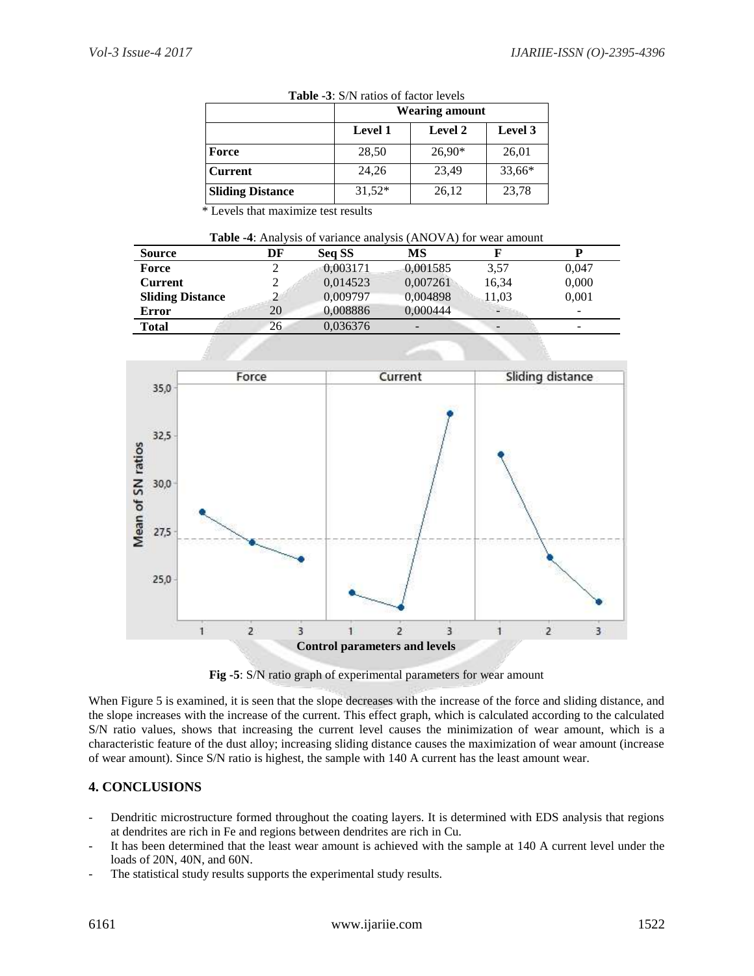|                         | Wearing amount |                |         |  |
|-------------------------|----------------|----------------|---------|--|
|                         | <b>Level 1</b> | <b>Level 2</b> | Level 3 |  |
| Force                   | 28,50          | $26,90*$       | 26,01   |  |
| <b>Current</b>          | 24,26          | 23,49          | 33,66*  |  |
| <b>Sliding Distance</b> | $31,52*$       | 26,12          | 23,78   |  |

**Table -3**: S/N ratios of factor levels

\* Levels that maximize test results

| <b>Table -4:</b> Analysis of variance analysis (ANOVA) for wear amount |
|------------------------------------------------------------------------|
|------------------------------------------------------------------------|

| <b>Source</b>           | DF | Seq SS   | MS                       |        |       |
|-------------------------|----|----------|--------------------------|--------|-------|
| Force                   |    | 0,003171 | 0.001585                 | 3,57   | 0,047 |
| <b>Current</b>          |    | 0,014523 | 0,007261                 | 16,34  | 0,000 |
| <b>Sliding Distance</b> |    | 0,009797 | 0,004898                 | 11,03  | 0.001 |
| <b>Error</b>            | 20 | 0.008886 | 0.000444                 | $\sim$ | -     |
| Total                   | 26 | 0,036376 | $\overline{\phantom{0}}$ |        | ۰     |



**Fig -5**: S/N ratio graph of experimental parameters for wear amount

When Figure 5 is examined, it is seen that the slope decreases with the increase of the force and sliding distance, and the slope increases with the increase of the current. This effect graph, which is calculated according to the calculated S/N ratio values, shows that increasing the current level causes the minimization of wear amount, which is a characteristic feature of the dust alloy; increasing sliding distance causes the maximization of wear amount (increase of wear amount). Since S/N ratio is highest, the sample with 140 A current has the least amount wear.

### **4. CONCLUSIONS**

- Dendritic microstructure formed throughout the coating layers. It is determined with EDS analysis that regions at dendrites are rich in Fe and regions between dendrites are rich in Cu.
- It has been determined that the least wear amount is achieved with the sample at 140 A current level under the loads of 20N, 40N, and 60N.
- The statistical study results supports the experimental study results.